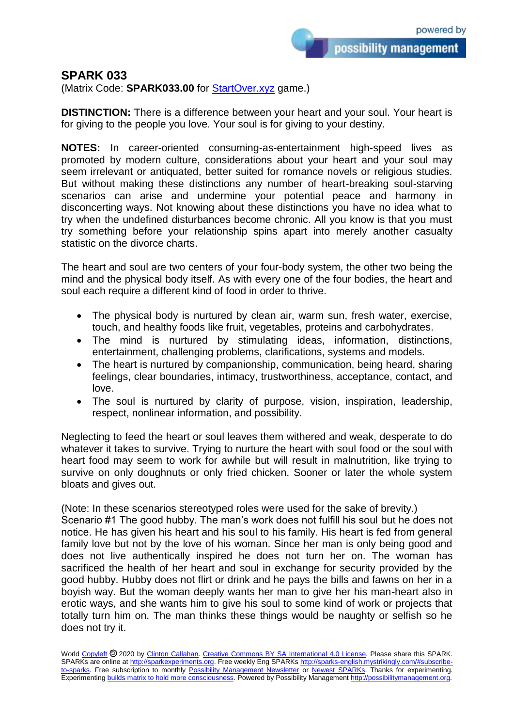possibility management

## **SPARK 033**

(Matrix Code: **SPARK033.00** for [StartOver.xyz](https://startoverxyz.mystrikingly.com/) game.)

**DISTINCTION:** There is a difference between your heart and your soul. Your heart is for giving to the people you love. Your soul is for giving to your destiny.

**NOTES:** In career-oriented consuming-as-entertainment high-speed lives as promoted by modern culture, considerations about your heart and your soul may seem irrelevant or antiquated, better suited for romance novels or religious studies. But without making these distinctions any number of heart-breaking soul-starving scenarios can arise and undermine your potential peace and harmony in disconcerting ways. Not knowing about these distinctions you have no idea what to try when the undefined disturbances become chronic. All you know is that you must try something before your relationship spins apart into merely another casualty statistic on the divorce charts.

The heart and soul are two centers of your four-body system, the other two being the mind and the physical body itself. As with every one of the four bodies, the heart and soul each require a different kind of food in order to thrive.

- The physical body is nurtured by clean air, warm sun, fresh water, exercise, touch, and healthy foods like fruit, vegetables, proteins and carbohydrates.
- The mind is nurtured by stimulating ideas, information, distinctions, entertainment, challenging problems, clarifications, systems and models.
- The heart is nurtured by companionship, communication, being heard, sharing feelings, clear boundaries, intimacy, trustworthiness, acceptance, contact, and love.
- The soul is nurtured by clarity of purpose, vision, inspiration, leadership, respect, nonlinear information, and possibility.

Neglecting to feed the heart or soul leaves them withered and weak, desperate to do whatever it takes to survive. Trying to nurture the heart with soul food or the soul with heart food may seem to work for awhile but will result in malnutrition, like trying to survive on only doughnuts or only fried chicken. Sooner or later the whole system bloats and gives out.

(Note: In these scenarios stereotyped roles were used for the sake of brevity.) Scenario #1 The good hubby. The man's work does not fulfill his soul but he does not notice. He has given his heart and his soul to his family. His heart is fed from general family love but not by the love of his woman. Since her man is only being good and does not live authentically inspired he does not turn her on. The woman has sacrificed the health of her heart and soul in exchange for security provided by the good hubby. Hubby does not flirt or drink and he pays the bills and fawns on her in a boyish way. But the woman deeply wants her man to give her his man-heart also in erotic ways, and she wants him to give his soul to some kind of work or projects that totally turn him on. The man thinks these things would be naughty or selfish so he does not try it.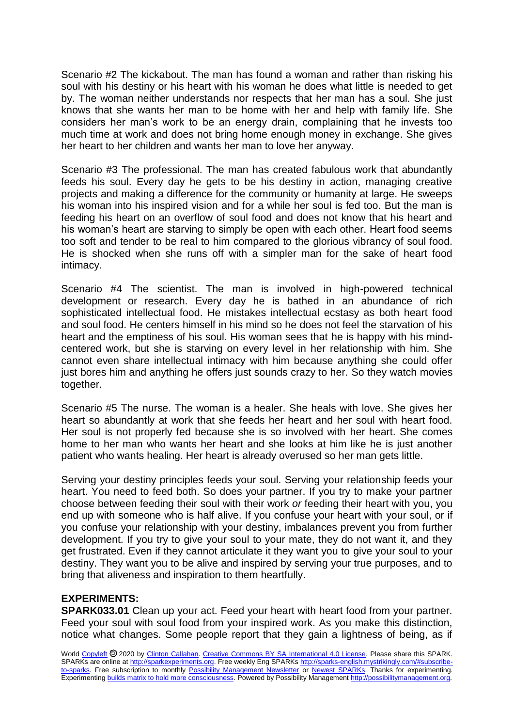Scenario #2 The kickabout. The man has found a woman and rather than risking his soul with his destiny or his heart with his woman he does what little is needed to get by. The woman neither understands nor respects that her man has a soul. She just knows that she wants her man to be home with her and help with family life. She considers her man's work to be an energy drain, complaining that he invests too much time at work and does not bring home enough money in exchange. She gives her heart to her children and wants her man to love her anyway.

Scenario #3 The professional. The man has created fabulous work that abundantly feeds his soul. Every day he gets to be his destiny in action, managing creative projects and making a difference for the community or humanity at large. He sweeps his woman into his inspired vision and for a while her soul is fed too. But the man is feeding his heart on an overflow of soul food and does not know that his heart and his woman's heart are starving to simply be open with each other. Heart food seems too soft and tender to be real to him compared to the glorious vibrancy of soul food. He is shocked when she runs off with a simpler man for the sake of heart food intimacy.

Scenario #4 The scientist. The man is involved in high-powered technical development or research. Every day he is bathed in an abundance of rich sophisticated intellectual food. He mistakes intellectual ecstasy as both heart food and soul food. He centers himself in his mind so he does not feel the starvation of his heart and the emptiness of his soul. His woman sees that he is happy with his mindcentered work, but she is starving on every level in her relationship with him. She cannot even share intellectual intimacy with him because anything she could offer just bores him and anything he offers just sounds crazy to her. So they watch movies together.

Scenario #5 The nurse. The woman is a healer. She heals with love. She gives her heart so abundantly at work that she feeds her heart and her soul with heart food. Her soul is not properly fed because she is so involved with her heart. She comes home to her man who wants her heart and she looks at him like he is just another patient who wants healing. Her heart is already overused so her man gets little.

Serving your destiny principles feeds your soul. Serving your relationship feeds your heart. You need to feed both. So does your partner. If you try to make your partner choose between feeding their soul with their work *or* feeding their heart with you, you end up with someone who is half alive. If you confuse your heart with your soul, or if you confuse your relationship with your destiny, imbalances prevent you from further development. If you try to give your soul to your mate, they do not want it, and they get frustrated. Even if they cannot articulate it they want you to give your soul to your destiny. They want you to be alive and inspired by serving your true purposes, and to bring that aliveness and inspiration to them heartfully.

## **EXPERIMENTS:**

**SPARK033.01** Clean up your act. Feed your heart with heart food from your partner. Feed your soul with soul food from your inspired work. As you make this distinction, notice what changes. Some people report that they gain a lightness of being, as if